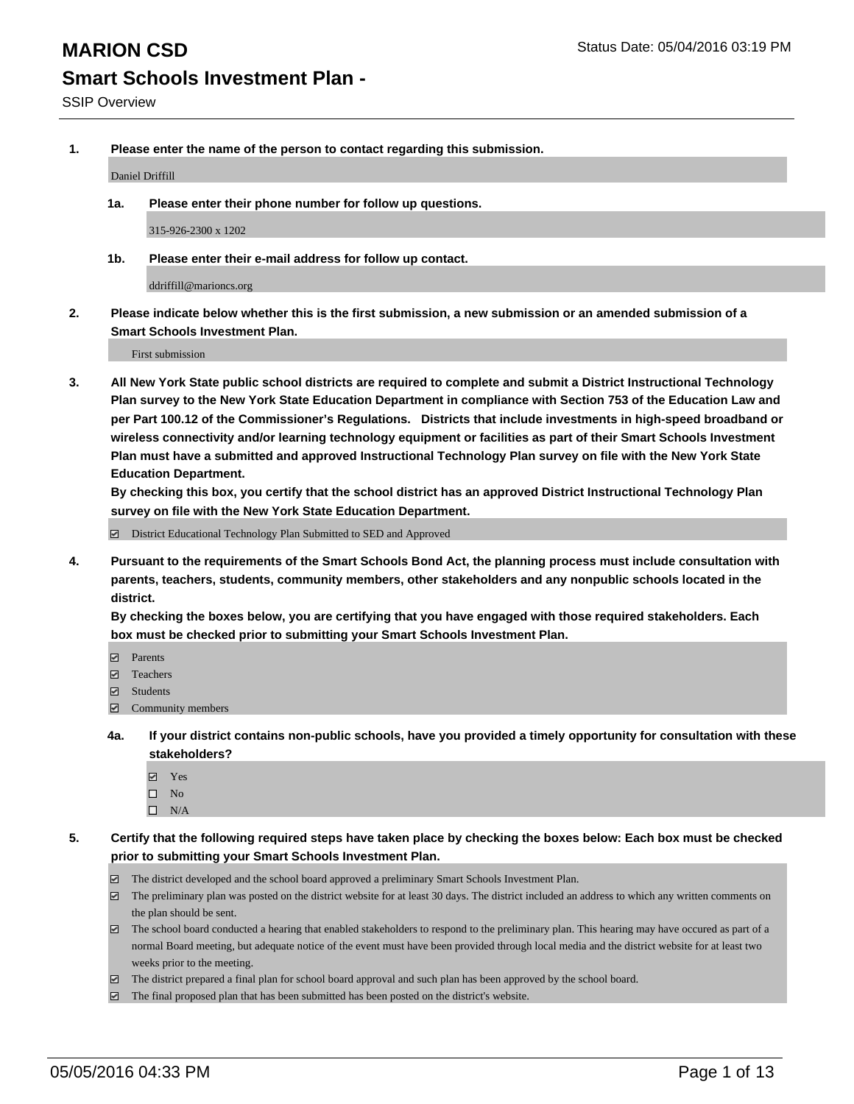**1. Please enter the name of the person to contact regarding this submission.**

Daniel Driffill

**1a. Please enter their phone number for follow up questions.**

315-926-2300 x 1202

**1b. Please enter their e-mail address for follow up contact.**

ddriffill@marioncs.org

**2. Please indicate below whether this is the first submission, a new submission or an amended submission of a Smart Schools Investment Plan.**

First submission

**3. All New York State public school districts are required to complete and submit a District Instructional Technology Plan survey to the New York State Education Department in compliance with Section 753 of the Education Law and per Part 100.12 of the Commissioner's Regulations. Districts that include investments in high-speed broadband or wireless connectivity and/or learning technology equipment or facilities as part of their Smart Schools Investment Plan must have a submitted and approved Instructional Technology Plan survey on file with the New York State Education Department.** 

**By checking this box, you certify that the school district has an approved District Instructional Technology Plan survey on file with the New York State Education Department.**

■ District Educational Technology Plan Submitted to SED and Approved

**4. Pursuant to the requirements of the Smart Schools Bond Act, the planning process must include consultation with parents, teachers, students, community members, other stakeholders and any nonpublic schools located in the district.** 

**By checking the boxes below, you are certifying that you have engaged with those required stakeholders. Each box must be checked prior to submitting your Smart Schools Investment Plan.**

- **Parents**
- □ Teachers
- Students
- $\boxdot$  Community members
- **4a. If your district contains non-public schools, have you provided a timely opportunity for consultation with these stakeholders?**
	- Yes
	- $\square$  No
	- $\Box$  N/A
- **5. Certify that the following required steps have taken place by checking the boxes below: Each box must be checked prior to submitting your Smart Schools Investment Plan.**
	- The district developed and the school board approved a preliminary Smart Schools Investment Plan.
	- The preliminary plan was posted on the district website for at least 30 days. The district included an address to which any written comments on the plan should be sent.
	- $\Box$  The school board conducted a hearing that enabled stakeholders to respond to the preliminary plan. This hearing may have occured as part of a normal Board meeting, but adequate notice of the event must have been provided through local media and the district website for at least two weeks prior to the meeting.
	- The district prepared a final plan for school board approval and such plan has been approved by the school board.
	- The final proposed plan that has been submitted has been posted on the district's website.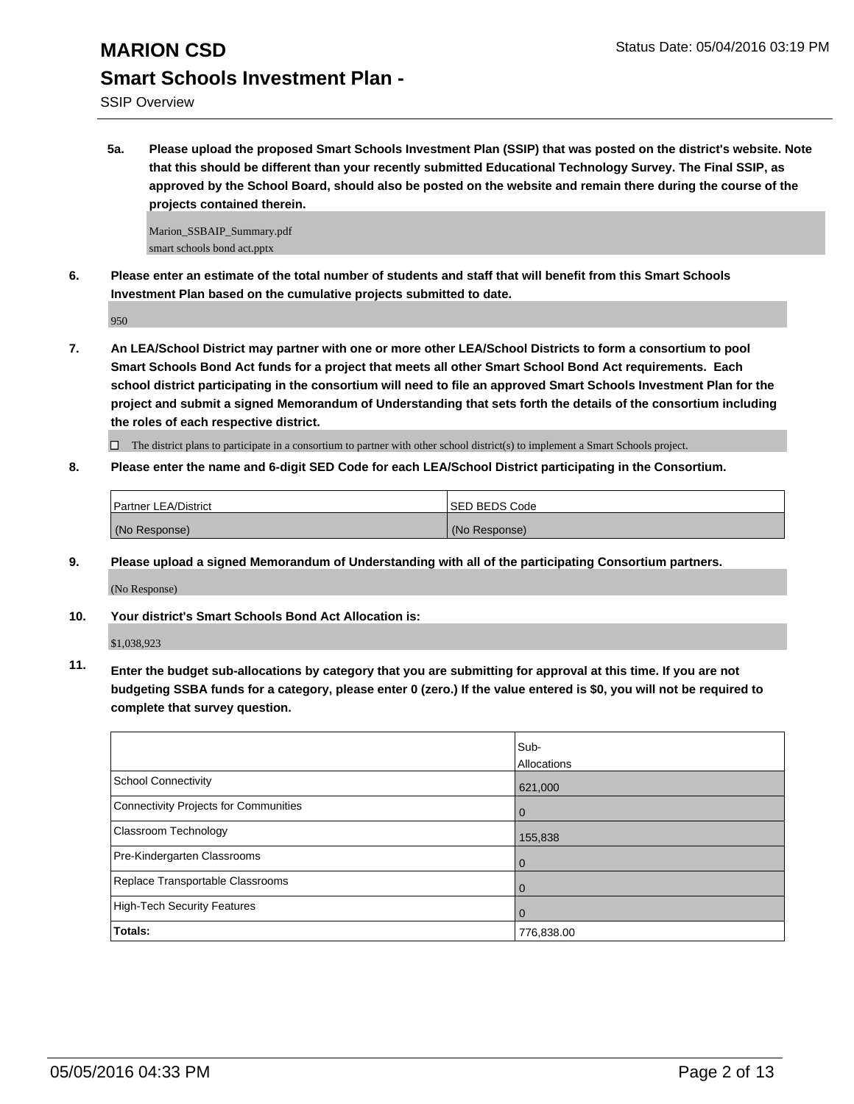**5a. Please upload the proposed Smart Schools Investment Plan (SSIP) that was posted on the district's website. Note that this should be different than your recently submitted Educational Technology Survey. The Final SSIP, as approved by the School Board, should also be posted on the website and remain there during the course of the projects contained therein.**

Marion\_SSBAIP\_Summary.pdf smart schools bond act.pptx

**6. Please enter an estimate of the total number of students and staff that will benefit from this Smart Schools Investment Plan based on the cumulative projects submitted to date.**

950

**7. An LEA/School District may partner with one or more other LEA/School Districts to form a consortium to pool Smart Schools Bond Act funds for a project that meets all other Smart School Bond Act requirements. Each school district participating in the consortium will need to file an approved Smart Schools Investment Plan for the project and submit a signed Memorandum of Understanding that sets forth the details of the consortium including the roles of each respective district.**

 $\Box$  The district plans to participate in a consortium to partner with other school district(s) to implement a Smart Schools project.

**8. Please enter the name and 6-digit SED Code for each LEA/School District participating in the Consortium.**

| <b>Partner LEA/District</b> | <b>ISED BEDS Code</b> |
|-----------------------------|-----------------------|
| (No Response)               | (No Response)         |

**9. Please upload a signed Memorandum of Understanding with all of the participating Consortium partners.**

(No Response)

**10. Your district's Smart Schools Bond Act Allocation is:**

\$1,038,923

**11. Enter the budget sub-allocations by category that you are submitting for approval at this time. If you are not budgeting SSBA funds for a category, please enter 0 (zero.) If the value entered is \$0, you will not be required to complete that survey question.**

|                                       | Sub-<br>Allocations |
|---------------------------------------|---------------------|
| <b>School Connectivity</b>            | 621,000             |
| Connectivity Projects for Communities | $\Omega$            |
| <b>Classroom Technology</b>           | 155,838             |
| Pre-Kindergarten Classrooms           | $\Omega$            |
| Replace Transportable Classrooms      | 0                   |
| High-Tech Security Features           | 0                   |
| Totals:                               | 776,838.00          |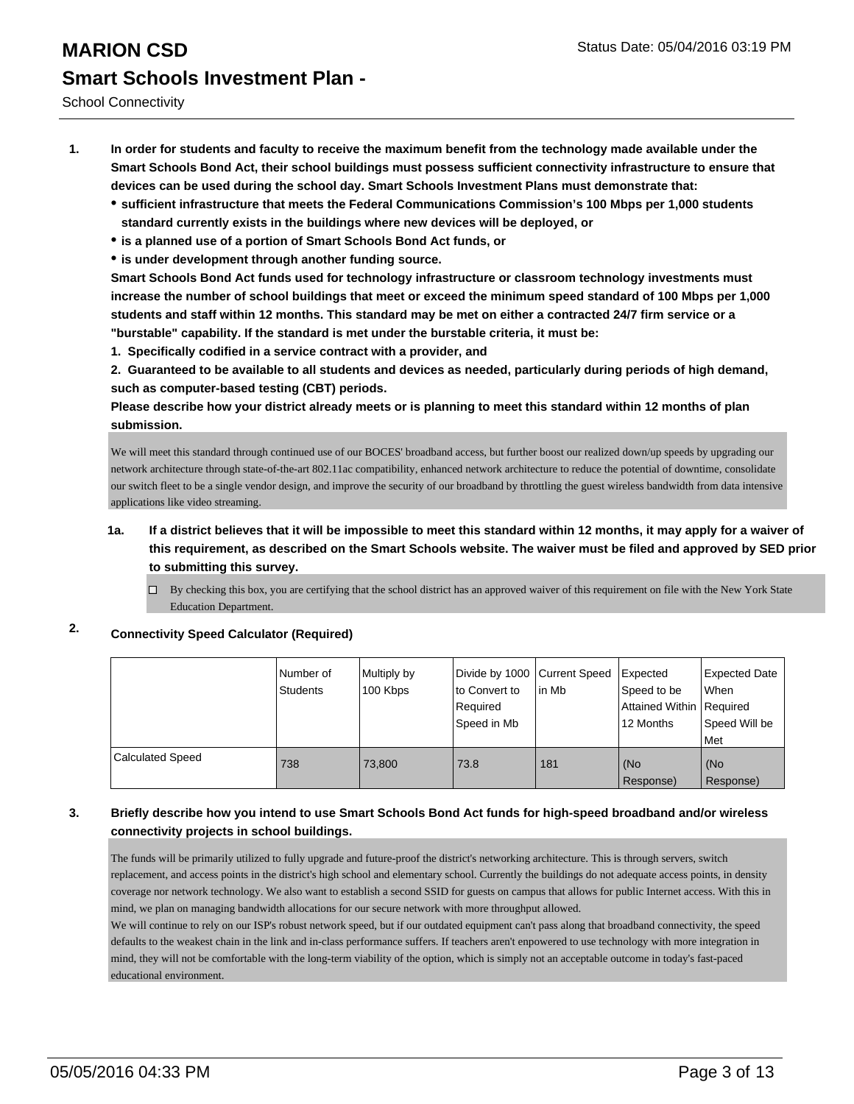- **1. In order for students and faculty to receive the maximum benefit from the technology made available under the Smart Schools Bond Act, their school buildings must possess sufficient connectivity infrastructure to ensure that devices can be used during the school day. Smart Schools Investment Plans must demonstrate that:**
	- **sufficient infrastructure that meets the Federal Communications Commission's 100 Mbps per 1,000 students standard currently exists in the buildings where new devices will be deployed, or**
	- **is a planned use of a portion of Smart Schools Bond Act funds, or**
	- **is under development through another funding source.**

**Smart Schools Bond Act funds used for technology infrastructure or classroom technology investments must increase the number of school buildings that meet or exceed the minimum speed standard of 100 Mbps per 1,000 students and staff within 12 months. This standard may be met on either a contracted 24/7 firm service or a "burstable" capability. If the standard is met under the burstable criteria, it must be:**

**1. Specifically codified in a service contract with a provider, and**

**2. Guaranteed to be available to all students and devices as needed, particularly during periods of high demand, such as computer-based testing (CBT) periods.**

**Please describe how your district already meets or is planning to meet this standard within 12 months of plan submission.**

We will meet this standard through continued use of our BOCES' broadband access, but further boost our realized down/up speeds by upgrading our network architecture through state-of-the-art 802.11ac compatibility, enhanced network architecture to reduce the potential of downtime, consolidate our switch fleet to be a single vendor design, and improve the security of our broadband by throttling the guest wireless bandwidth from data intensive applications like video streaming.

#### **1a. If a district believes that it will be impossible to meet this standard within 12 months, it may apply for a waiver of this requirement, as described on the Smart Schools website. The waiver must be filed and approved by SED prior to submitting this survey.**

By checking this box, you are certifying that the school district has an approved waiver of this requirement on file with the New York State Education Department.

#### **2. Connectivity Speed Calculator (Required)**

|                         | Number of<br><b>Students</b> | Multiply by<br>100 Kbps | Divide by 1000 Current Speed<br>lto Convert to<br>Required<br>Speed in Mb | lin Mb | Expected<br>Speed to be<br>Attained Within   Required<br>12 Months | <b>Expected Date</b><br>l When<br>Speed Will be<br>Met |
|-------------------------|------------------------------|-------------------------|---------------------------------------------------------------------------|--------|--------------------------------------------------------------------|--------------------------------------------------------|
| <b>Calculated Speed</b> | 738                          | 73.800                  | 73.8                                                                      | 181    | (No<br>Response)                                                   | l (No<br>Response)                                     |

#### **3. Briefly describe how you intend to use Smart Schools Bond Act funds for high-speed broadband and/or wireless connectivity projects in school buildings.**

The funds will be primarily utilized to fully upgrade and future-proof the district's networking architecture. This is through servers, switch replacement, and access points in the district's high school and elementary school. Currently the buildings do not adequate access points, in density coverage nor network technology. We also want to establish a second SSID for guests on campus that allows for public Internet access. With this in mind, we plan on managing bandwidth allocations for our secure network with more throughput allowed.

We will continue to rely on our ISP's robust network speed, but if our outdated equipment can't pass along that broadband connectivity, the speed defaults to the weakest chain in the link and in-class performance suffers. If teachers aren't enpowered to use technology with more integration in mind, they will not be comfortable with the long-term viability of the option, which is simply not an acceptable outcome in today's fast-paced educational environment.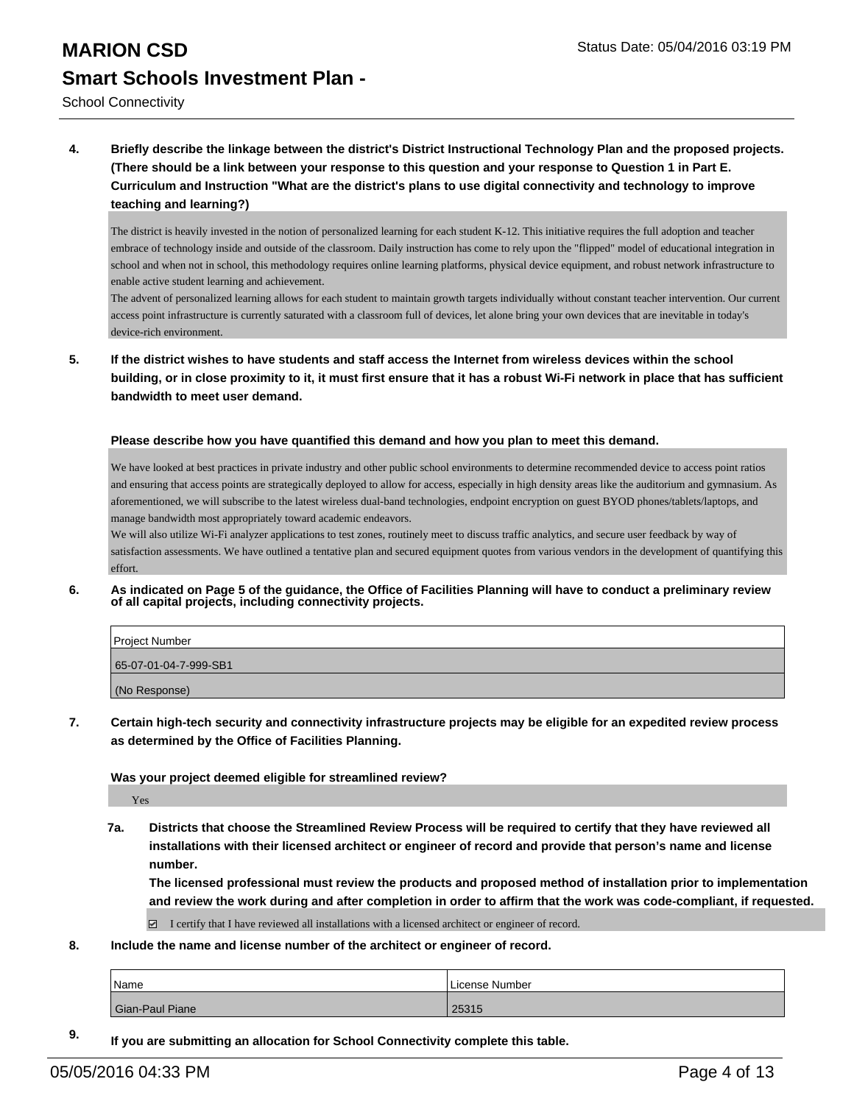School Connectivity

**4. Briefly describe the linkage between the district's District Instructional Technology Plan and the proposed projects. (There should be a link between your response to this question and your response to Question 1 in Part E. Curriculum and Instruction "What are the district's plans to use digital connectivity and technology to improve teaching and learning?)**

The district is heavily invested in the notion of personalized learning for each student K-12. This initiative requires the full adoption and teacher embrace of technology inside and outside of the classroom. Daily instruction has come to rely upon the "flipped" model of educational integration in school and when not in school, this methodology requires online learning platforms, physical device equipment, and robust network infrastructure to enable active student learning and achievement.

The advent of personalized learning allows for each student to maintain growth targets individually without constant teacher intervention. Our current access point infrastructure is currently saturated with a classroom full of devices, let alone bring your own devices that are inevitable in today's device-rich environment.

**5. If the district wishes to have students and staff access the Internet from wireless devices within the school building, or in close proximity to it, it must first ensure that it has a robust Wi-Fi network in place that has sufficient bandwidth to meet user demand.**

**Please describe how you have quantified this demand and how you plan to meet this demand.**

We have looked at best practices in private industry and other public school environments to determine recommended device to access point ratios and ensuring that access points are strategically deployed to allow for access, especially in high density areas like the auditorium and gymnasium. As aforementioned, we will subscribe to the latest wireless dual-band technologies, endpoint encryption on guest BYOD phones/tablets/laptops, and manage bandwidth most appropriately toward academic endeavors.

We will also utilize Wi-Fi analyzer applications to test zones, routinely meet to discuss traffic analytics, and secure user feedback by way of satisfaction assessments. We have outlined a tentative plan and secured equipment quotes from various vendors in the development of quantifying this effort.

**6. As indicated on Page 5 of the guidance, the Office of Facilities Planning will have to conduct a preliminary review of all capital projects, including connectivity projects.**

| Project Number        |
|-----------------------|
| 65-07-01-04-7-999-SB1 |
| (No Response)         |

**7. Certain high-tech security and connectivity infrastructure projects may be eligible for an expedited review process as determined by the Office of Facilities Planning.**

#### **Was your project deemed eligible for streamlined review?**

Yes

**7a. Districts that choose the Streamlined Review Process will be required to certify that they have reviewed all installations with their licensed architect or engineer of record and provide that person's name and license number.**

**The licensed professional must review the products and proposed method of installation prior to implementation and review the work during and after completion in order to affirm that the work was code-compliant, if requested.**

 $\Box$  I certify that I have reviewed all installations with a licensed architect or engineer of record.

**8. Include the name and license number of the architect or engineer of record.**

| Name            | License Number |
|-----------------|----------------|
| Gian-Paul Piane | 25315          |

**9. If you are submitting an allocation for School Connectivity complete this table.**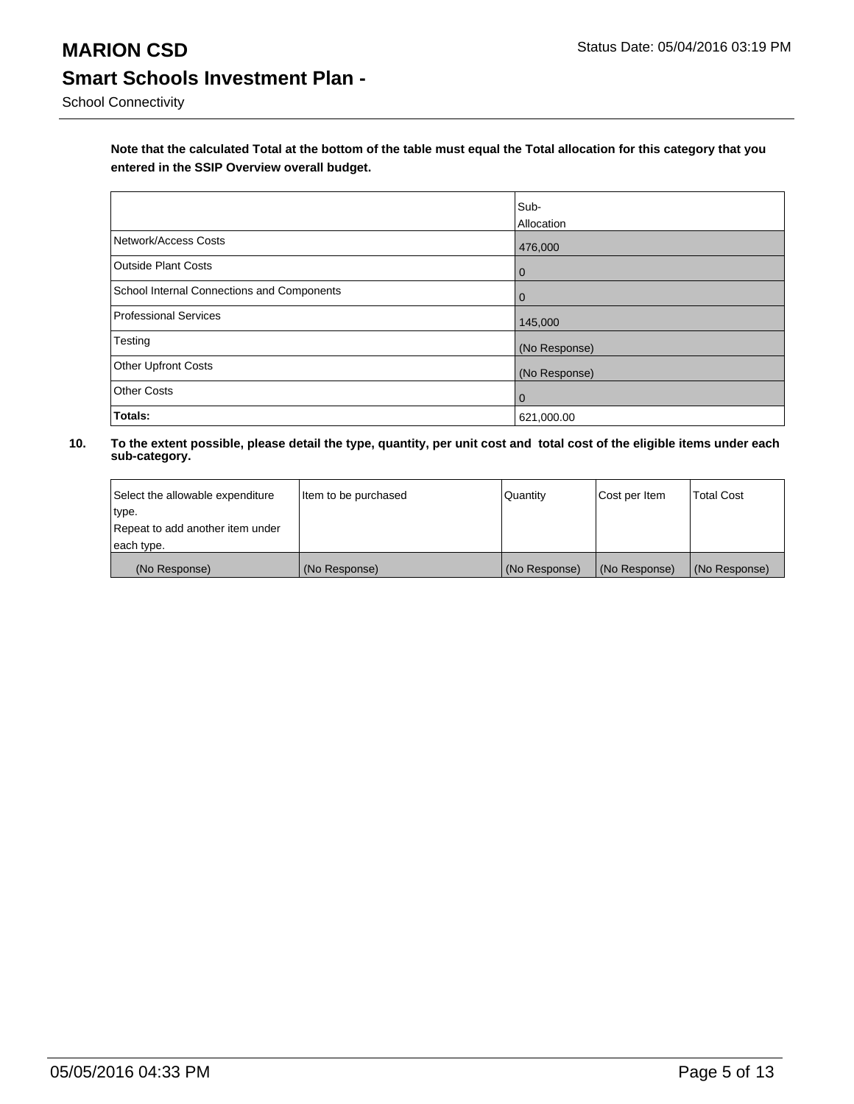**Note that the calculated Total at the bottom of the table must equal the Total allocation for this category that you entered in the SSIP Overview overall budget.** 

|                                            | Sub-<br>Allocation |
|--------------------------------------------|--------------------|
| Network/Access Costs                       | 476,000            |
| <b>Outside Plant Costs</b>                 | $\overline{0}$     |
| School Internal Connections and Components | $\overline{0}$     |
| Professional Services                      | 145,000            |
| Testing                                    | (No Response)      |
| <b>Other Upfront Costs</b>                 | (No Response)      |
| <b>Other Costs</b>                         | $\overline{0}$     |
| Totals:                                    | 621,000.00         |

| Select the allowable expenditure | Item to be purchased | Quantity      | Cost per Item | <b>Total Cost</b> |
|----------------------------------|----------------------|---------------|---------------|-------------------|
| type.                            |                      |               |               |                   |
| Repeat to add another item under |                      |               |               |                   |
| each type.                       |                      |               |               |                   |
| (No Response)                    | (No Response)        | (No Response) | (No Response) | (No Response)     |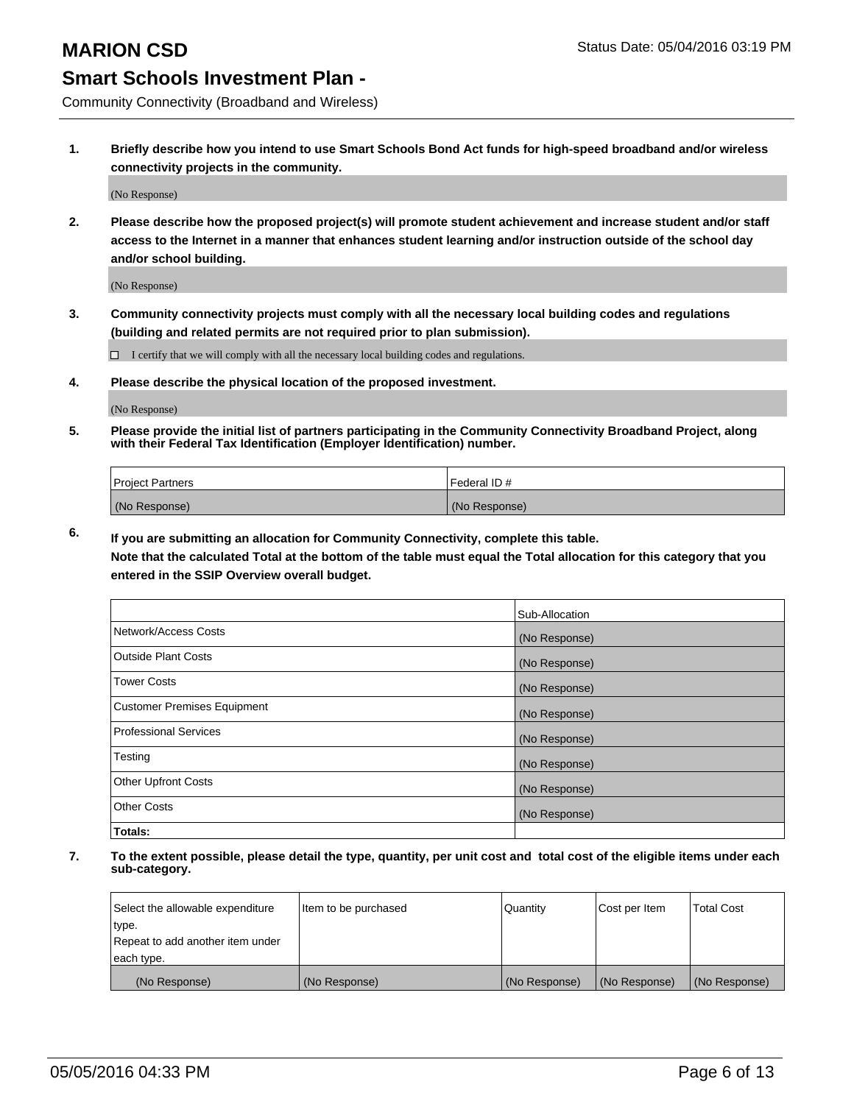Community Connectivity (Broadband and Wireless)

**1. Briefly describe how you intend to use Smart Schools Bond Act funds for high-speed broadband and/or wireless connectivity projects in the community.**

(No Response)

**2. Please describe how the proposed project(s) will promote student achievement and increase student and/or staff access to the Internet in a manner that enhances student learning and/or instruction outside of the school day and/or school building.**

(No Response)

**3. Community connectivity projects must comply with all the necessary local building codes and regulations (building and related permits are not required prior to plan submission).**

 $\Box$  I certify that we will comply with all the necessary local building codes and regulations.

**4. Please describe the physical location of the proposed investment.**

(No Response)

**5. Please provide the initial list of partners participating in the Community Connectivity Broadband Project, along with their Federal Tax Identification (Employer Identification) number.**

| <b>Project Partners</b> | <b>IFederal ID#</b> |
|-------------------------|---------------------|
| (No Response)           | (No Response)       |

**6. If you are submitting an allocation for Community Connectivity, complete this table.**

**Note that the calculated Total at the bottom of the table must equal the Total allocation for this category that you entered in the SSIP Overview overall budget.**

|                                    | Sub-Allocation |
|------------------------------------|----------------|
| Network/Access Costs               | (No Response)  |
| Outside Plant Costs                | (No Response)  |
| <b>Tower Costs</b>                 | (No Response)  |
| <b>Customer Premises Equipment</b> | (No Response)  |
| Professional Services              | (No Response)  |
| Testing                            | (No Response)  |
| <b>Other Upfront Costs</b>         | (No Response)  |
| Other Costs                        | (No Response)  |
| Totals:                            |                |

| Select the allowable expenditure | litem to be purchased | Quantity      | Cost per Item | <b>Total Cost</b> |
|----------------------------------|-----------------------|---------------|---------------|-------------------|
| type.                            |                       |               |               |                   |
| Repeat to add another item under |                       |               |               |                   |
| each type.                       |                       |               |               |                   |
| (No Response)                    | (No Response)         | (No Response) | (No Response) | (No Response)     |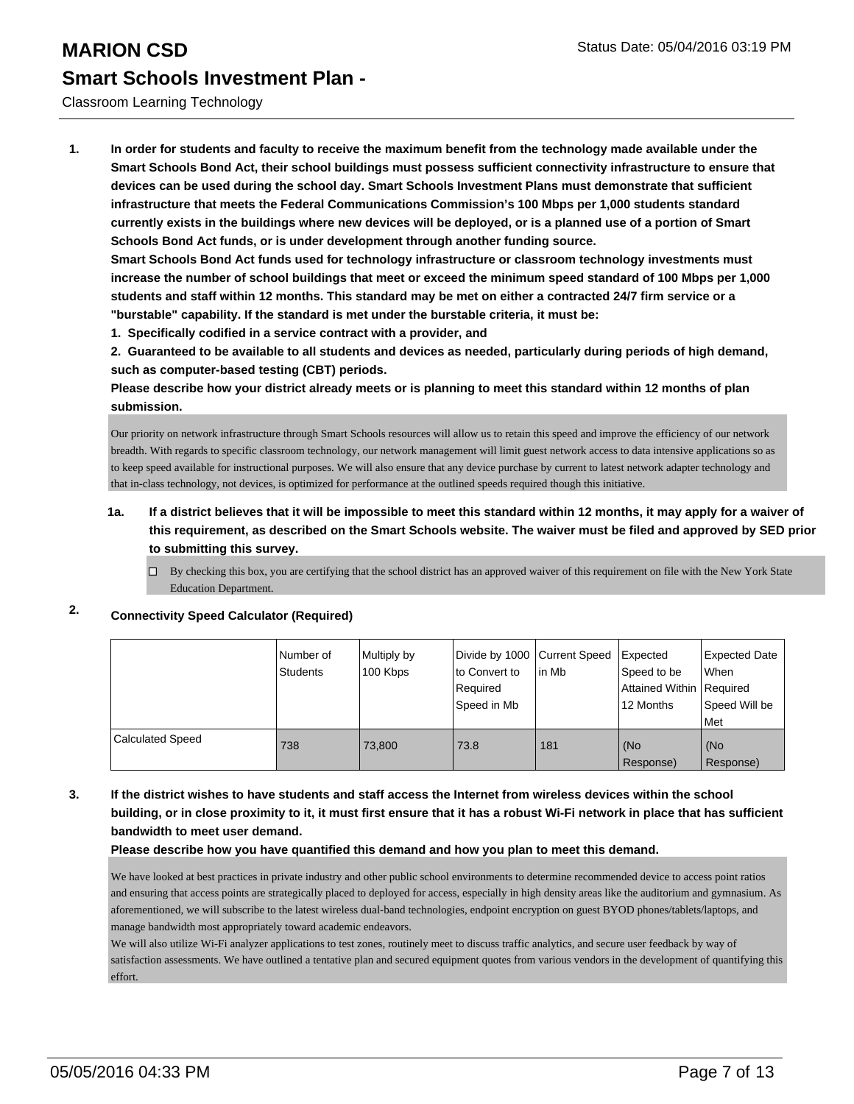#### Classroom Learning Technology

**1. In order for students and faculty to receive the maximum benefit from the technology made available under the Smart Schools Bond Act, their school buildings must possess sufficient connectivity infrastructure to ensure that devices can be used during the school day. Smart Schools Investment Plans must demonstrate that sufficient infrastructure that meets the Federal Communications Commission's 100 Mbps per 1,000 students standard currently exists in the buildings where new devices will be deployed, or is a planned use of a portion of Smart Schools Bond Act funds, or is under development through another funding source.**

**Smart Schools Bond Act funds used for technology infrastructure or classroom technology investments must increase the number of school buildings that meet or exceed the minimum speed standard of 100 Mbps per 1,000 students and staff within 12 months. This standard may be met on either a contracted 24/7 firm service or a "burstable" capability. If the standard is met under the burstable criteria, it must be:**

**1. Specifically codified in a service contract with a provider, and**

**2. Guaranteed to be available to all students and devices as needed, particularly during periods of high demand, such as computer-based testing (CBT) periods.**

**Please describe how your district already meets or is planning to meet this standard within 12 months of plan submission.**

Our priority on network infrastructure through Smart Schools resources will allow us to retain this speed and improve the efficiency of our network breadth. With regards to specific classroom technology, our network management will limit guest network access to data intensive applications so as to keep speed available for instructional purposes. We will also ensure that any device purchase by current to latest network adapter technology and that in-class technology, not devices, is optimized for performance at the outlined speeds required though this initiative.

#### **1a. If a district believes that it will be impossible to meet this standard within 12 months, it may apply for a waiver of this requirement, as described on the Smart Schools website. The waiver must be filed and approved by SED prior to submitting this survey.**

 $\Box$  By checking this box, you are certifying that the school district has an approved waiver of this requirement on file with the New York State Education Department.

### **2. Connectivity Speed Calculator (Required)**

|                         | Number of<br><b>Students</b> | Multiply by<br>100 Kbps | Divide by 1000 Current Speed<br>to Convert to<br>Required<br>Speed in Mb | lin Mb | Expected<br>Speed to be<br>Attained Within   Required<br>12 Months | <b>Expected Date</b><br><b>When</b><br>Speed Will be<br><b>Met</b> |
|-------------------------|------------------------------|-------------------------|--------------------------------------------------------------------------|--------|--------------------------------------------------------------------|--------------------------------------------------------------------|
| <b>Calculated Speed</b> | 738                          | 73.800                  | 73.8                                                                     | 181    | (No<br>Response)                                                   | l (No<br>Response)                                                 |

#### **3. If the district wishes to have students and staff access the Internet from wireless devices within the school building, or in close proximity to it, it must first ensure that it has a robust Wi-Fi network in place that has sufficient bandwidth to meet user demand.**

**Please describe how you have quantified this demand and how you plan to meet this demand.**

We have looked at best practices in private industry and other public school environments to determine recommended device to access point ratios and ensuring that access points are strategically placed to deployed for access, especially in high density areas like the auditorium and gymnasium. As aforementioned, we will subscribe to the latest wireless dual-band technologies, endpoint encryption on guest BYOD phones/tablets/laptops, and manage bandwidth most appropriately toward academic endeavors.

We will also utilize Wi-Fi analyzer applications to test zones, routinely meet to discuss traffic analytics, and secure user feedback by way of satisfaction assessments. We have outlined a tentative plan and secured equipment quotes from various vendors in the development of quantifying this effort.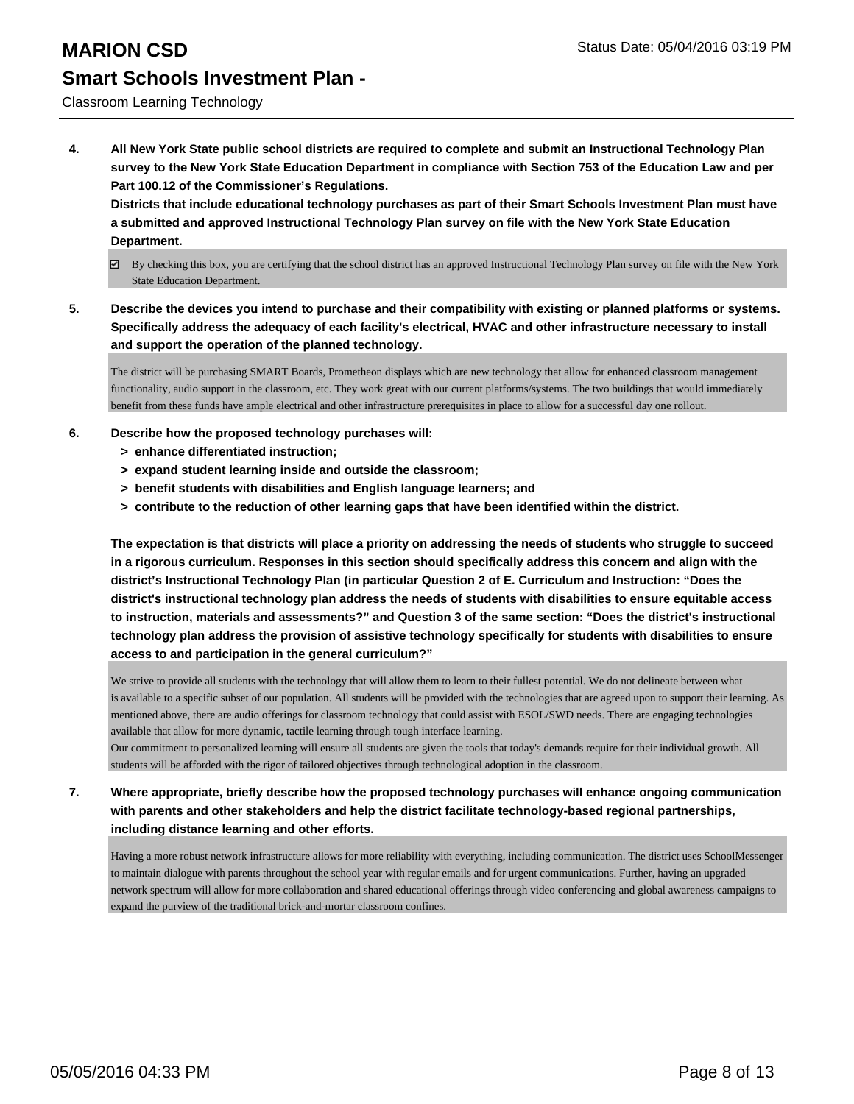#### Classroom Learning Technology

**4. All New York State public school districts are required to complete and submit an Instructional Technology Plan survey to the New York State Education Department in compliance with Section 753 of the Education Law and per Part 100.12 of the Commissioner's Regulations.**

**Districts that include educational technology purchases as part of their Smart Schools Investment Plan must have a submitted and approved Instructional Technology Plan survey on file with the New York State Education Department.**

- $\boxtimes$  By checking this box, you are certifying that the school district has an approved Instructional Technology Plan survey on file with the New York State Education Department.
- **5. Describe the devices you intend to purchase and their compatibility with existing or planned platforms or systems. Specifically address the adequacy of each facility's electrical, HVAC and other infrastructure necessary to install and support the operation of the planned technology.**

The district will be purchasing SMART Boards, Prometheon displays which are new technology that allow for enhanced classroom management functionality, audio support in the classroom, etc. They work great with our current platforms/systems. The two buildings that would immediately benefit from these funds have ample electrical and other infrastructure prerequisites in place to allow for a successful day one rollout.

#### **6. Describe how the proposed technology purchases will:**

- **> enhance differentiated instruction;**
- **> expand student learning inside and outside the classroom;**
- **> benefit students with disabilities and English language learners; and**
- **> contribute to the reduction of other learning gaps that have been identified within the district.**

**The expectation is that districts will place a priority on addressing the needs of students who struggle to succeed in a rigorous curriculum. Responses in this section should specifically address this concern and align with the district's Instructional Technology Plan (in particular Question 2 of E. Curriculum and Instruction: "Does the district's instructional technology plan address the needs of students with disabilities to ensure equitable access to instruction, materials and assessments?" and Question 3 of the same section: "Does the district's instructional technology plan address the provision of assistive technology specifically for students with disabilities to ensure access to and participation in the general curriculum?"**

We strive to provide all students with the technology that will allow them to learn to their fullest potential. We do not delineate between what is available to a specific subset of our population. All students will be provided with the technologies that are agreed upon to support their learning. As mentioned above, there are audio offerings for classroom technology that could assist with ESOL/SWD needs. There are engaging technologies available that allow for more dynamic, tactile learning through tough interface learning.

Our commitment to personalized learning will ensure all students are given the tools that today's demands require for their individual growth. All students will be afforded with the rigor of tailored objectives through technological adoption in the classroom.

**7. Where appropriate, briefly describe how the proposed technology purchases will enhance ongoing communication with parents and other stakeholders and help the district facilitate technology-based regional partnerships, including distance learning and other efforts.**

Having a more robust network infrastructure allows for more reliability with everything, including communication. The district uses SchoolMessenger to maintain dialogue with parents throughout the school year with regular emails and for urgent communications. Further, having an upgraded network spectrum will allow for more collaboration and shared educational offerings through video conferencing and global awareness campaigns to expand the purview of the traditional brick-and-mortar classroom confines.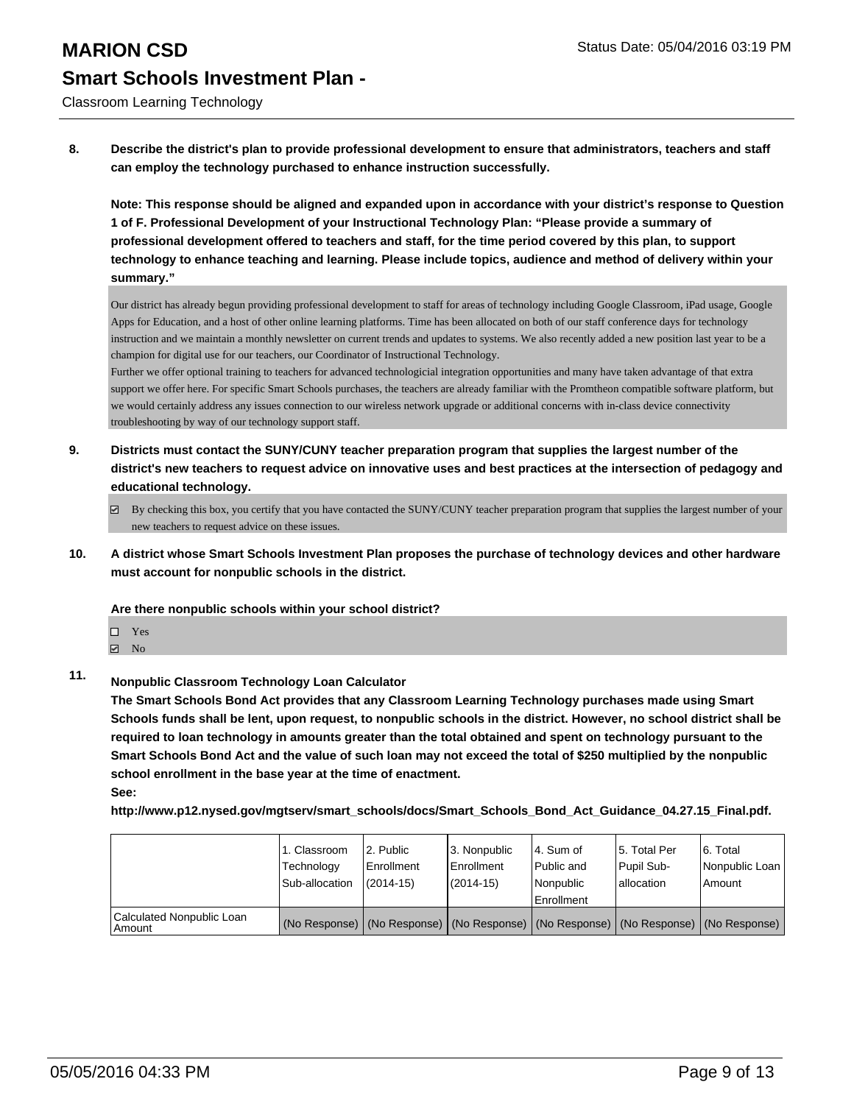Classroom Learning Technology

**8. Describe the district's plan to provide professional development to ensure that administrators, teachers and staff can employ the technology purchased to enhance instruction successfully.**

**Note: This response should be aligned and expanded upon in accordance with your district's response to Question 1 of F. Professional Development of your Instructional Technology Plan: "Please provide a summary of professional development offered to teachers and staff, for the time period covered by this plan, to support technology to enhance teaching and learning. Please include topics, audience and method of delivery within your summary."**

Our district has already begun providing professional development to staff for areas of technology including Google Classroom, iPad usage, Google Apps for Education, and a host of other online learning platforms. Time has been allocated on both of our staff conference days for technology instruction and we maintain a monthly newsletter on current trends and updates to systems. We also recently added a new position last year to be a champion for digital use for our teachers, our Coordinator of Instructional Technology.

Further we offer optional training to teachers for advanced technologicial integration opportunities and many have taken advantage of that extra support we offer here. For specific Smart Schools purchases, the teachers are already familiar with the Promtheon compatible software platform, but we would certainly address any issues connection to our wireless network upgrade or additional concerns with in-class device connectivity troubleshooting by way of our technology support staff.

**9. Districts must contact the SUNY/CUNY teacher preparation program that supplies the largest number of the district's new teachers to request advice on innovative uses and best practices at the intersection of pedagogy and educational technology.**

 $\boxtimes$  By checking this box, you certify that you have contacted the SUNY/CUNY teacher preparation program that supplies the largest number of your new teachers to request advice on these issues.

**10. A district whose Smart Schools Investment Plan proposes the purchase of technology devices and other hardware must account for nonpublic schools in the district.**

**Are there nonpublic schools within your school district?**

 $\Box$  Yes **☑** No

### **11. Nonpublic Classroom Technology Loan Calculator**

**The Smart Schools Bond Act provides that any Classroom Learning Technology purchases made using Smart Schools funds shall be lent, upon request, to nonpublic schools in the district. However, no school district shall be required to loan technology in amounts greater than the total obtained and spent on technology pursuant to the Smart Schools Bond Act and the value of such loan may not exceed the total of \$250 multiplied by the nonpublic school enrollment in the base year at the time of enactment. See:**

**http://www.p12.nysed.gov/mgtserv/smart\_schools/docs/Smart\_Schools\_Bond\_Act\_Guidance\_04.27.15\_Final.pdf.**

|                                       | 1. Classroom<br>Technology<br>Sub-allocation | 2. Public<br>l Enrollment<br>$(2014 - 15)$ | 3. Nonpublic<br>Enrollment<br>$(2014 - 15)$ | l 4. Sum of<br>Public and<br>l Nonpublic<br>Enrollment                                        | 15. Total Per<br>Pupil Sub-<br>lallocation | 6. Total<br>Nonpublic Loan<br>l Amount |
|---------------------------------------|----------------------------------------------|--------------------------------------------|---------------------------------------------|-----------------------------------------------------------------------------------------------|--------------------------------------------|----------------------------------------|
| Calculated Nonpublic Loan<br>l Amount |                                              |                                            |                                             | (No Response)   (No Response)   (No Response)   (No Response)   (No Response)   (No Response) |                                            |                                        |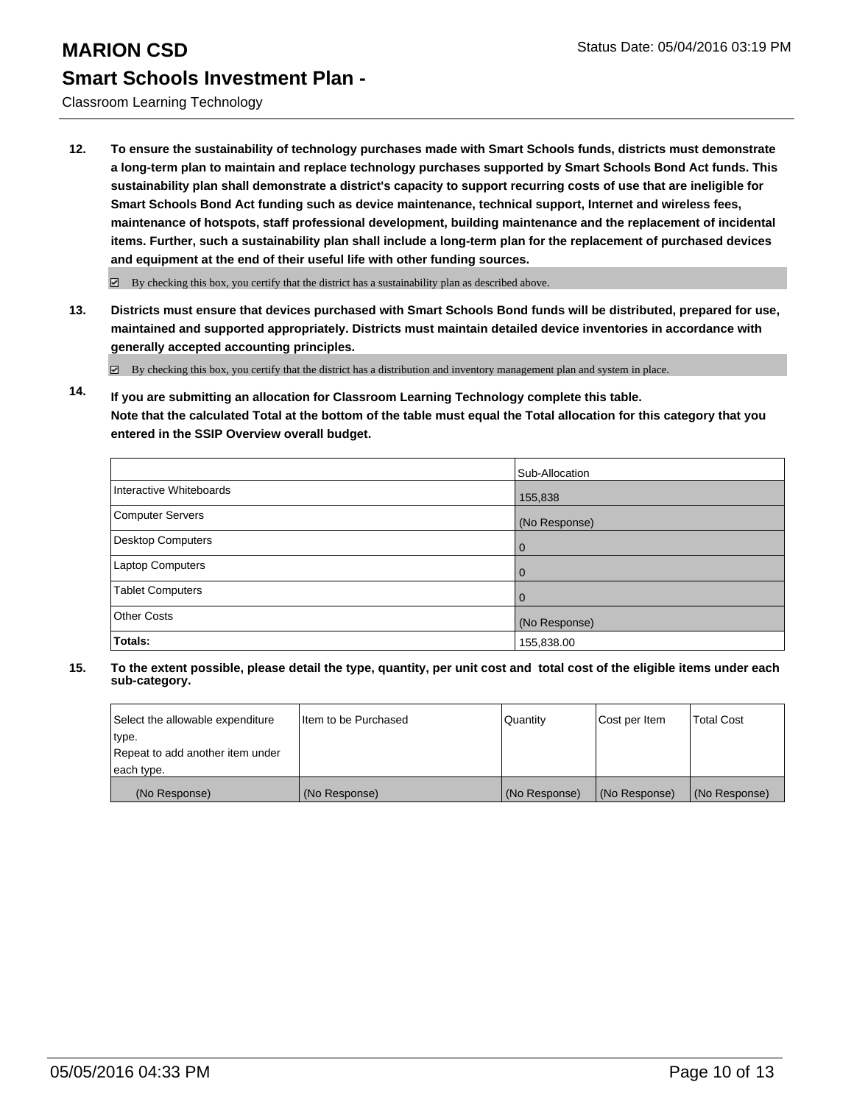Classroom Learning Technology

**12. To ensure the sustainability of technology purchases made with Smart Schools funds, districts must demonstrate a long-term plan to maintain and replace technology purchases supported by Smart Schools Bond Act funds. This sustainability plan shall demonstrate a district's capacity to support recurring costs of use that are ineligible for Smart Schools Bond Act funding such as device maintenance, technical support, Internet and wireless fees, maintenance of hotspots, staff professional development, building maintenance and the replacement of incidental items. Further, such a sustainability plan shall include a long-term plan for the replacement of purchased devices and equipment at the end of their useful life with other funding sources.**

 $\boxdot$  By checking this box, you certify that the district has a sustainability plan as described above.

**13. Districts must ensure that devices purchased with Smart Schools Bond funds will be distributed, prepared for use, maintained and supported appropriately. Districts must maintain detailed device inventories in accordance with generally accepted accounting principles.**

By checking this box, you certify that the district has a distribution and inventory management plan and system in place.

**14. If you are submitting an allocation for Classroom Learning Technology complete this table. Note that the calculated Total at the bottom of the table must equal the Total allocation for this category that you entered in the SSIP Overview overall budget.**

|                          | Sub-Allocation |
|--------------------------|----------------|
| Interactive Whiteboards  | 155,838        |
| Computer Servers         | (No Response)  |
| <b>Desktop Computers</b> | $\Omega$       |
| Laptop Computers         | 0              |
| <b>Tablet Computers</b>  | $\Omega$       |
| <b>Other Costs</b>       | (No Response)  |
| Totals:                  | 155,838.00     |

| Select the allowable expenditure | Iltem to be Purchased | Quantity      | Cost per Item | <b>Total Cost</b> |
|----------------------------------|-----------------------|---------------|---------------|-------------------|
| type.                            |                       |               |               |                   |
| Repeat to add another item under |                       |               |               |                   |
| each type.                       |                       |               |               |                   |
| (No Response)                    | (No Response)         | (No Response) | (No Response) | (No Response)     |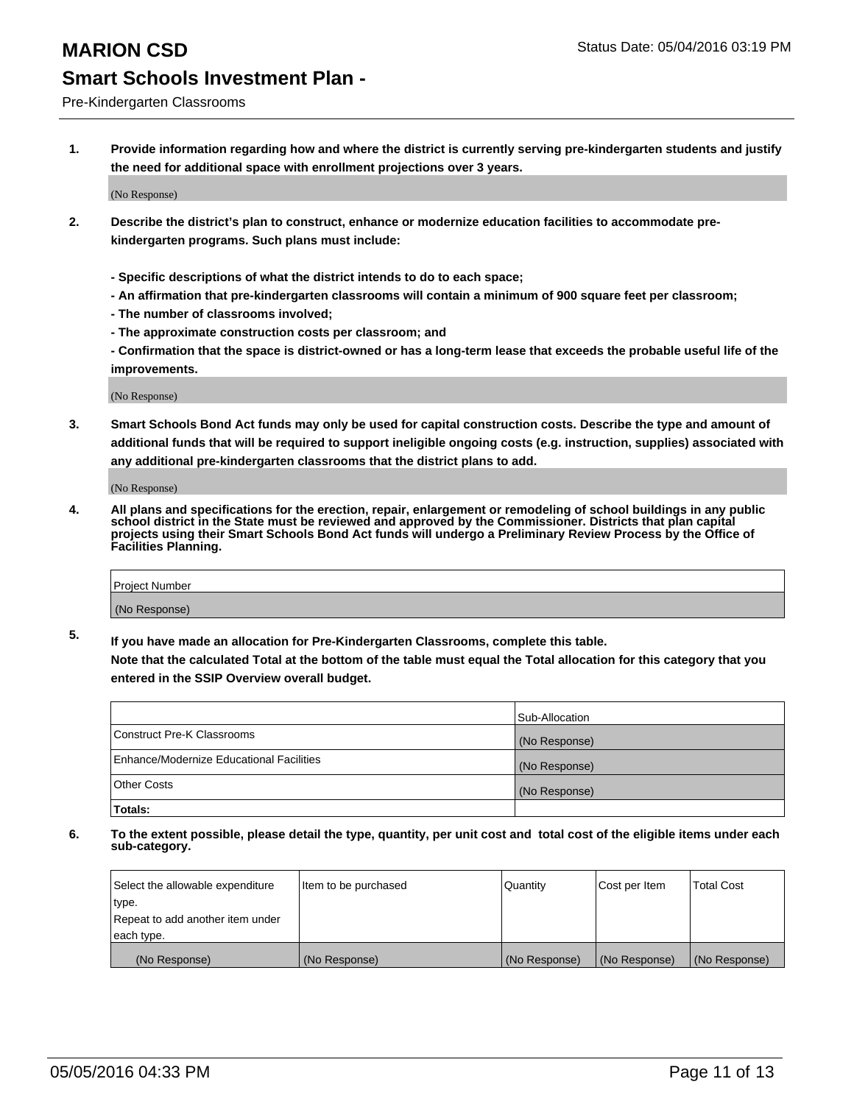#### Pre-Kindergarten Classrooms

**1. Provide information regarding how and where the district is currently serving pre-kindergarten students and justify the need for additional space with enrollment projections over 3 years.**

(No Response)

- **2. Describe the district's plan to construct, enhance or modernize education facilities to accommodate prekindergarten programs. Such plans must include:**
	- **Specific descriptions of what the district intends to do to each space;**
	- **An affirmation that pre-kindergarten classrooms will contain a minimum of 900 square feet per classroom;**
	- **The number of classrooms involved;**
	- **The approximate construction costs per classroom; and**
	- **Confirmation that the space is district-owned or has a long-term lease that exceeds the probable useful life of the improvements.**

(No Response)

**3. Smart Schools Bond Act funds may only be used for capital construction costs. Describe the type and amount of additional funds that will be required to support ineligible ongoing costs (e.g. instruction, supplies) associated with any additional pre-kindergarten classrooms that the district plans to add.**

(No Response)

**4. All plans and specifications for the erection, repair, enlargement or remodeling of school buildings in any public school district in the State must be reviewed and approved by the Commissioner. Districts that plan capital projects using their Smart Schools Bond Act funds will undergo a Preliminary Review Process by the Office of Facilities Planning.**

| Project Number |  |
|----------------|--|
| (No Response)  |  |

**5. If you have made an allocation for Pre-Kindergarten Classrooms, complete this table. Note that the calculated Total at the bottom of the table must equal the Total allocation for this category that you**

**entered in the SSIP Overview overall budget.**

|                                          | Sub-Allocation |
|------------------------------------------|----------------|
| Construct Pre-K Classrooms               | (No Response)  |
| Enhance/Modernize Educational Facilities | (No Response)  |
| Other Costs                              | (No Response)  |
| Totals:                                  |                |

| Select the allowable expenditure | Item to be purchased | Quantity      | Cost per Item | <b>Total Cost</b> |
|----------------------------------|----------------------|---------------|---------------|-------------------|
| type.                            |                      |               |               |                   |
| Repeat to add another item under |                      |               |               |                   |
| each type.                       |                      |               |               |                   |
| (No Response)                    | (No Response)        | (No Response) | (No Response) | (No Response)     |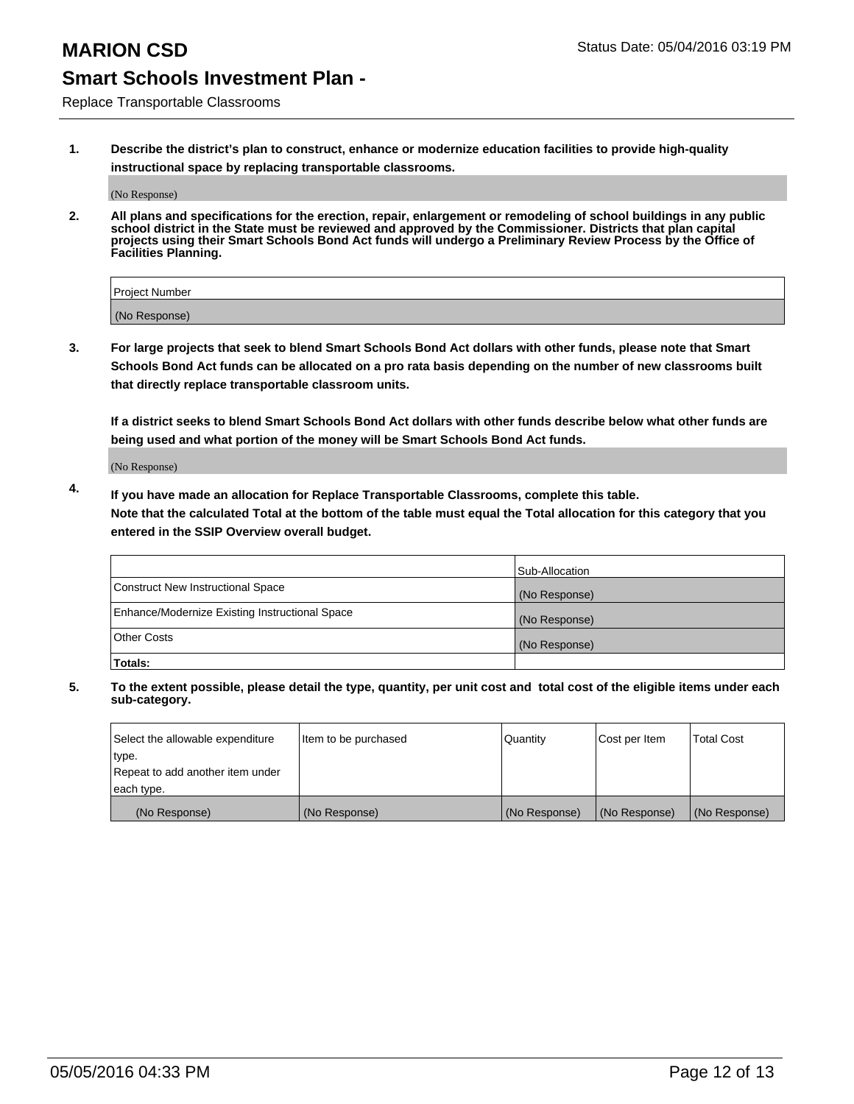Replace Transportable Classrooms

**1. Describe the district's plan to construct, enhance or modernize education facilities to provide high-quality instructional space by replacing transportable classrooms.**

(No Response)

**2. All plans and specifications for the erection, repair, enlargement or remodeling of school buildings in any public school district in the State must be reviewed and approved by the Commissioner. Districts that plan capital projects using their Smart Schools Bond Act funds will undergo a Preliminary Review Process by the Office of Facilities Planning.**

| Project Number |  |
|----------------|--|
| (No Response)  |  |

**3. For large projects that seek to blend Smart Schools Bond Act dollars with other funds, please note that Smart Schools Bond Act funds can be allocated on a pro rata basis depending on the number of new classrooms built that directly replace transportable classroom units.**

**If a district seeks to blend Smart Schools Bond Act dollars with other funds describe below what other funds are being used and what portion of the money will be Smart Schools Bond Act funds.**

(No Response)

**4. If you have made an allocation for Replace Transportable Classrooms, complete this table. Note that the calculated Total at the bottom of the table must equal the Total allocation for this category that you entered in the SSIP Overview overall budget.**

|                                                | Sub-Allocation |
|------------------------------------------------|----------------|
| Construct New Instructional Space              | (No Response)  |
| Enhance/Modernize Existing Instructional Space | (No Response)  |
| <b>Other Costs</b>                             | (No Response)  |
| Totals:                                        |                |

| Select the allowable expenditure | Item to be purchased | Quantity      | Cost per Item | <b>Total Cost</b> |
|----------------------------------|----------------------|---------------|---------------|-------------------|
| type.                            |                      |               |               |                   |
| Repeat to add another item under |                      |               |               |                   |
| each type.                       |                      |               |               |                   |
| (No Response)                    | (No Response)        | (No Response) | (No Response) | (No Response)     |